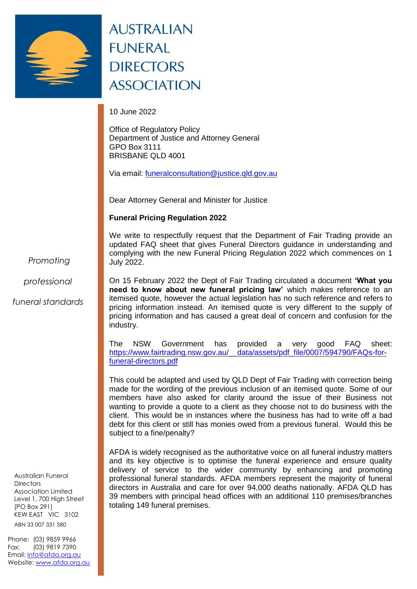

## **AUSTRALIAN FUNERAL DIRECTORS ASSOCIATION**

10 June 2022

Office of Regulatory Policy Department of Justice and Attorney General GPO Box 3111 BRISBANE QLD 4001

Via email: [funeralconsultation@justice.qld.gov.au](mailto:funeralconsultation@justice.qld.gov.au)

Dear Attorney General and Minister for Justice

**Funeral Pricing Regulation 2022** 

We write to respectfully request that the Department of Fair Trading provide an updated FAQ sheet that gives Funeral Directors guidance in understanding and complying with the new Funeral Pricing Regulation 2022 which commences on 1 July 2022.

*Promoting*

*professional*

*funeral standards*

ABN 33 007 331 580 Australian Funeral **Directors** Association Limited Level 1, 700 High Street (PO Box 291) KEW EAST VIC 3102

Phone: (03) 9859 9966 Fax: (03) 9819 7390 Email: [info@afda.org.au](mailto:info@afda.org.au) Website: [www.afda.org.au](http://www.afda.org.au/)

On 15 February 2022 the Dept of Fair Trading circulated a document **'What you need to know about new funeral pricing law'** which makes reference to an itemised quote, however the actual legislation has no such reference and refers to pricing information instead. An itemised quote is very different to the supply of pricing information and has caused a great deal of concern and confusion for the industry.

The NSW Government has provided a very good FAQ sheet: [https://www.fairtrading.nsw.gov.au/\\_\\_data/assets/pdf\\_file/0007/594790/FAQs-for](https://www.fairtrading.nsw.gov.au/__data/assets/pdf_file/0007/594790/FAQs-for-funeral-directors.pdf)[funeral-directors.pdf](https://www.fairtrading.nsw.gov.au/__data/assets/pdf_file/0007/594790/FAQs-for-funeral-directors.pdf)

This could be adapted and used by QLD Dept of Fair Trading with correction being made for the wording of the previous inclusion of an itemised quote. Some of our members have also asked for clarity around the issue of their Business not wanting to provide a quote to a client as they choose not to do business with the client. This would be in instances where the business has had to write off a bad debt for this client or still has monies owed from a previous funeral. Would this be subject to a fine/penalty?

AFDA is widely recognised as the authoritative voice on all funeral industry matters and its key objective is to optimise the funeral experience and ensure quality delivery of service to the wider community by enhancing and promoting professional funeral standards. AFDA members represent the majority of funeral directors in Australia and care for over 94,000 deaths nationally. AFDA QLD has 39 members with principal head offices with an additional 110 premises/branches totaling 149 funeral premises.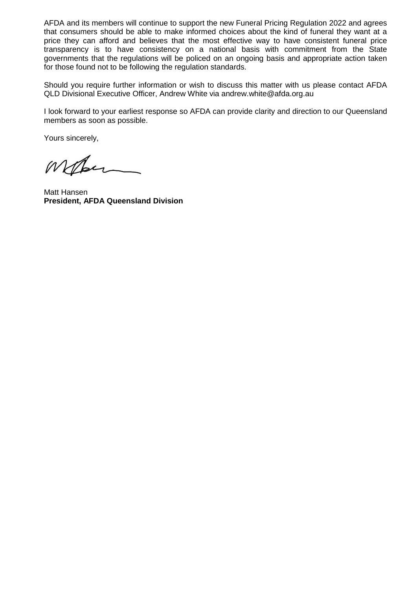AFDA and its members will continue to support the new Funeral Pricing Regulation 2022 and agrees that consumers should be able to make informed choices about the kind of funeral they want at a price they can afford and believes that the most effective way to have consistent funeral price transparency is to have consistency on a national basis with commitment from the State governments that the regulations will be policed on an ongoing basis and appropriate action taken for those found not to be following the regulation standards.

Should you require further information or wish to discuss this matter with us please contact AFDA QLD Divisional Executive Officer, Andrew White via andrew.white@afda.org.au

I look forward to your earliest response so AFDA can provide clarity and direction to our Queensland members as soon as possible.

Yours sincerely,

Marin

Matt Hansen **President, AFDA Queensland Division**